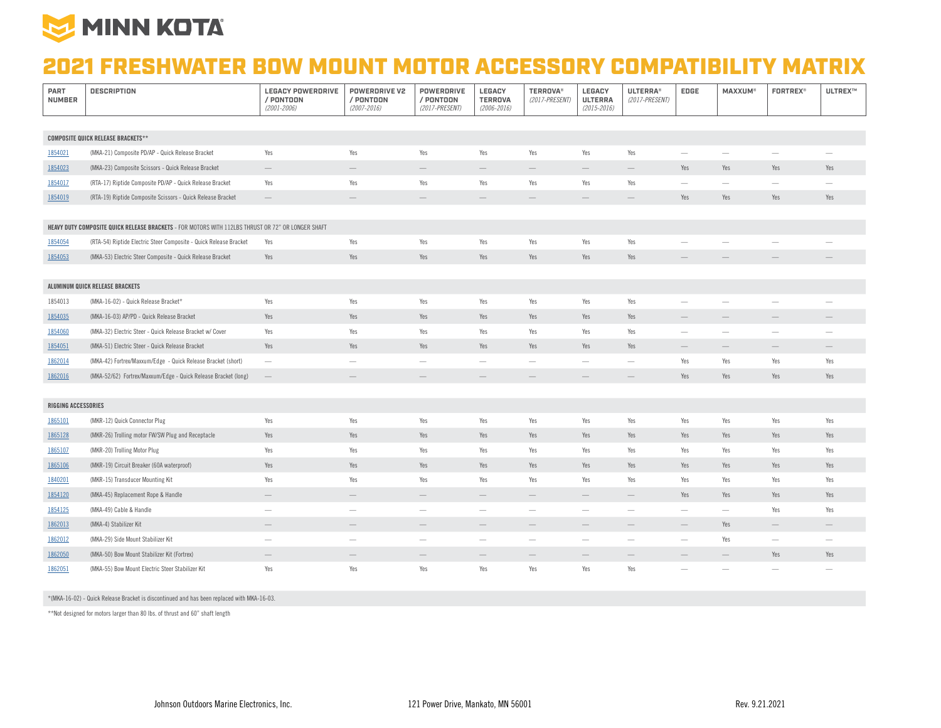

## 2021 FRESHWATER BOW MOUNT MOTOR ACCESSORY COMPATIBILITY MATRIX

| <b>PART</b><br><b>NUMBER</b>                                                                       | <b>DESCRIPTION</b>                                                | <b>LEGACY POWERDRIVE</b><br>/ PONTOON<br>$(2001 - 2006)$ | <b>POWERDRIVE V2</b><br>/ PONTOON<br>$(2007 - 2016)$ | <b>POWERDRIVE</b><br>/ PONTOON<br>(2017-PRESENT) | LEGACY<br><b>TERROVA</b><br>$(2006 - 2016)$ | <b>TERROVA®</b><br>(2017-PRESENT) | <b>LEGACY</b><br><b>ULTERRA</b><br>$(2015 - 2016)$ | <b>ULTERRA®</b><br>(2017-PRESENT) | EDGE                            | <b>MAXXUM®</b>                  | <b>FORTREX®</b>                 | <b>ULTREX™</b>           |
|----------------------------------------------------------------------------------------------------|-------------------------------------------------------------------|----------------------------------------------------------|------------------------------------------------------|--------------------------------------------------|---------------------------------------------|-----------------------------------|----------------------------------------------------|-----------------------------------|---------------------------------|---------------------------------|---------------------------------|--------------------------|
|                                                                                                    |                                                                   |                                                          |                                                      |                                                  |                                             |                                   |                                                    |                                   |                                 |                                 |                                 |                          |
| <b>COMPOSITE QUICK RELEASE BRACKETS**</b>                                                          |                                                                   |                                                          |                                                      |                                                  |                                             |                                   |                                                    |                                   |                                 |                                 |                                 |                          |
| 1854021                                                                                            | (MKA-21) Composite PD/AP - Quick Release Bracket                  | Yes                                                      | Yes                                                  | Yes                                              | Yes                                         | Yes                               | Yes                                                | Yes                               |                                 | $\hspace{0.1mm}-\hspace{0.1mm}$ | $\overline{\phantom{a}}$        | -                        |
| 1854023                                                                                            | (MKA-23) Composite Scissors - Quick Release Bracket               | $\hspace{0.1mm}-\hspace{0.1mm}$                          | $\qquad \qquad -$                                    | $\hspace{0.1mm}-\hspace{0.1mm}$                  | $\hspace{0.1mm}-\hspace{0.1mm}$             | $\overline{\phantom{m}}$          | $\hspace{0.1mm}-\hspace{0.1mm}$                    | $\overline{\phantom{0}}$          | Yes                             | Yes                             | Yes                             | Yes                      |
| 1854017                                                                                            | (RTA-17) Riptide Composite PD/AP - Quick Release Bracket          | Yes                                                      | Yes                                                  | Yes                                              | Yes                                         | Yes                               | Yes                                                | Yes                               | $\hspace{0.1mm}-\hspace{0.1mm}$ | $\hspace{0.1mm}-\hspace{0.1mm}$ | $\hspace{0.1mm}-\hspace{0.1mm}$ | $\overline{\phantom{0}}$ |
| 1854019                                                                                            | (RTA-19) Riptide Composite Scissors - Quick Release Bracket       | $\overline{\phantom{m}}$                                 | $\overline{\phantom{0}}$                             | $\hspace{0.1mm}-\hspace{0.1mm}$                  | $\overline{\phantom{m}}$                    | $\qquad \qquad -$                 | $\overline{\phantom{a}}$                           | $\overline{\phantom{0}}$          | Yes                             | Yes                             | Yes                             | Yes                      |
|                                                                                                    |                                                                   |                                                          |                                                      |                                                  |                                             |                                   |                                                    |                                   |                                 |                                 |                                 |                          |
| HEAVY DUTY COMPOSITE QUICK RELEASE BRACKETS - FOR MOTORS WITH 112LBS THRUST OR 72" OR LONGER SHAFT |                                                                   |                                                          |                                                      |                                                  |                                             |                                   |                                                    |                                   |                                 |                                 |                                 |                          |
| 1854054                                                                                            | (RTA-54) Riptide Electric Steer Composite - Quick Release Bracket | Yes                                                      | Yes                                                  | Yes                                              | Yes                                         | Yes                               | Yes                                                | Yes                               | $\overline{\phantom{a}}$        | -                               |                                 |                          |
| 1854053                                                                                            | (MKA-53) Electric Steer Composite - Quick Release Bracket         | Yes                                                      | Yes                                                  | Yes                                              | Yes                                         | Yes                               | Yes                                                | Yes                               |                                 | $\qquad \qquad$                 |                                 |                          |
|                                                                                                    |                                                                   |                                                          |                                                      |                                                  |                                             |                                   |                                                    |                                   |                                 |                                 |                                 |                          |
|                                                                                                    | ALUMINUM QUICK RELEASE BRACKETS                                   |                                                          |                                                      |                                                  |                                             |                                   |                                                    |                                   |                                 |                                 |                                 |                          |
| 1854013                                                                                            | (MKA-16-02) - Quick Release Bracket*                              | Yes                                                      | Yes                                                  | Yes                                              | Yes                                         | Yes                               | Yes                                                | Yes                               | $\overline{\phantom{m}}$        | $\sim$                          | $\overline{\phantom{a}}$        | -                        |
| 1854035                                                                                            | (MKA-16-03) AP/PD - Quick Release Bracket                         | Yes                                                      | Yes                                                  | Yes                                              | Yes                                         | Yes                               | Yes                                                | Yes                               | $\overline{\phantom{m}}$        | $\hspace{0.1mm}-\hspace{0.1mm}$ | $\qquad \qquad -$               | $\qquad \qquad -$        |
| 1854060                                                                                            | (MKA-32) Electric Steer - Quick Release Bracket w/ Cover          | Yes                                                      | Yes                                                  | Yes                                              | Yes                                         | Yes                               | Yes                                                | Yes                               | $\overline{\phantom{a}}$        | $\overline{\phantom{a}}$        | $\overline{\phantom{a}}$        | $\overline{\phantom{0}}$ |
| 1854051                                                                                            | (MKA-51) Electric Steer - Quick Release Bracket                   | Yes                                                      | Yes                                                  | Yes                                              | Yes                                         | Yes                               | Yes                                                | Yes                               | $\hspace{0.1mm}-\hspace{0.1mm}$ | $\hspace{0.1mm}-\hspace{0.1mm}$ | $\hspace{0.1mm}-\hspace{0.1mm}$ | $\overline{\phantom{m}}$ |
| 1862014                                                                                            | (MKA-42) Fortrex/Maxxum/Edge - Quick Release Bracket (short)      | $\overline{\phantom{a}}$                                 | $\qquad \qquad -$                                    | $\overline{\phantom{a}}$                         | $\overline{\phantom{m}}$                    | $\overline{\phantom{a}}$          | $\overline{\phantom{m}}$                           |                                   | Yes                             | Yes                             | Yes                             | Yes                      |
| 1862016                                                                                            | (MKA-52/62) Fortrex/Maxxum/Edge - Quick Release Bracket (long)    | $\overline{\phantom{m}}$                                 | $\qquad \qquad -$                                    | $\overline{\phantom{0}}$                         | $\overline{\phantom{0}}$                    |                                   | $\overline{\phantom{a}}$                           | $\overline{\phantom{0}}$          | Yes                             | Yes                             | Yes                             | Yes                      |
|                                                                                                    |                                                                   |                                                          |                                                      |                                                  |                                             |                                   |                                                    |                                   |                                 |                                 |                                 |                          |
| <b>RIGGING ACCESSORIES</b>                                                                         |                                                                   |                                                          |                                                      |                                                  |                                             |                                   |                                                    |                                   |                                 |                                 |                                 |                          |
| 1865101                                                                                            | (MKR-12) Quick Connector Plug                                     | Yes                                                      | Yes                                                  | Yes                                              | Yes                                         | Yes                               | Yes                                                | Yes                               | Yes                             | Yes                             | Yes                             | Yes                      |
| 1865128                                                                                            | (MKR-26) Trolling motor FW/SW Plug and Receptacle                 | Yes                                                      | Yes                                                  | Yes                                              | Yes                                         | Yes                               | Yes                                                | Yes                               | Yes                             | Yes                             | Yes                             | Yes                      |
| 1865107                                                                                            | (MKR-20) Trolling Motor Plug                                      | Yes                                                      | Yes                                                  | Yes                                              | Yes                                         | Yes                               | Yes                                                | Yes                               | Yes                             | Yes                             | Yes                             | Yes                      |
| 1865106                                                                                            | (MKR-19) Circuit Breaker (60A waterproof)                         | Yes                                                      | Yes                                                  | Yes                                              | Yes                                         | Yes                               | Yes                                                | Yes                               | Yes                             | Yes                             | Yes                             | Yes                      |
| 1840201                                                                                            | (MKR-15) Transducer Mounting Kit                                  | Yes                                                      | Yes                                                  | Yes                                              | Yes                                         | Yes                               | Yes                                                | Yes                               | Yes                             | Yes                             | Yes                             | Yes                      |
| 1854120                                                                                            | (MKA-45) Replacement Rope & Handle                                | $\overline{\phantom{m}}$                                 | $\qquad \qquad -$                                    | $\hspace{0.1mm}-\hspace{0.1mm}$                  | $\overline{\phantom{0}}$                    | $\hspace{0.1mm}-\hspace{0.1mm}$   | $\hspace{0.1mm}-\hspace{0.1mm}$                    | $\overline{\phantom{0}}$          | Yes                             | Yes                             | Yes                             | Yes                      |
| 1854125                                                                                            | (MKA-49) Cable & Handle                                           | $\overline{\phantom{a}}$                                 | -                                                    | $\overline{\phantom{a}}$                         | -                                           | $\overline{\phantom{a}}$          | $\overline{\phantom{m}}$                           |                                   | $\overline{\phantom{m}}$        | $\overline{\phantom{m}}$        | Yes                             | Yes                      |
| 1862013                                                                                            | (MKA-4) Stabilizer Kit                                            | $\overline{\phantom{0}}$                                 | $\qquad \qquad -$                                    | $\overline{\phantom{0}}$                         | $\overline{\phantom{0}}$                    | $\overline{\phantom{0}}$          | $\overline{\phantom{m}}$                           | $\qquad \qquad -$                 | $\overline{\phantom{m}}$        | Yes                             | $\hspace{0.1mm}-\hspace{0.1mm}$ | $\qquad \qquad -$        |
| 1862012                                                                                            | (MKA-29) Side Mount Stabilizer Kit                                | $\overline{\phantom{m}}$                                 | $\overline{\phantom{0}}$                             | $\overline{\phantom{m}}$                         | $\overbrace{\qquad \qquad }^{}$             | $\overline{\phantom{m}}$          | $\overline{\phantom{a}}$                           | $\overline{\phantom{0}}$          |                                 | Yes                             | $\qquad \qquad -$               | $\overline{\phantom{0}}$ |
| 1862050                                                                                            | (MKA-50) Bow Mount Stabilizer Kit (Fortrex)                       | $\overline{\phantom{0}}$                                 | $\overline{\phantom{0}}$                             | $\hspace{0.1mm}-\hspace{0.1mm}$                  | $\hspace{0.1mm}-\hspace{0.1mm}$             | $\hspace{0.1mm}-\hspace{0.1mm}$   | $\hspace{0.1mm}-\hspace{0.1mm}$                    | $\qquad \qquad -$                 | $\hspace{0.1mm}-\hspace{0.1mm}$ | $\overline{\phantom{0}}$        | Yes                             | Yes                      |
| 1862051                                                                                            | (MKA-55) Bow Mount Electric Steer Stabilizer Kit                  | Yes                                                      | Yes                                                  | Yes                                              | Yes                                         | Yes                               | Yes                                                | Yes                               |                                 |                                 |                                 |                          |

\*(MKA-16-02) - Quick Release Bracket is discontinued and has been replaced with MKA-16-03.

\*\*Not designed for motors larger than 80 lbs. of thrust and 60" shaft length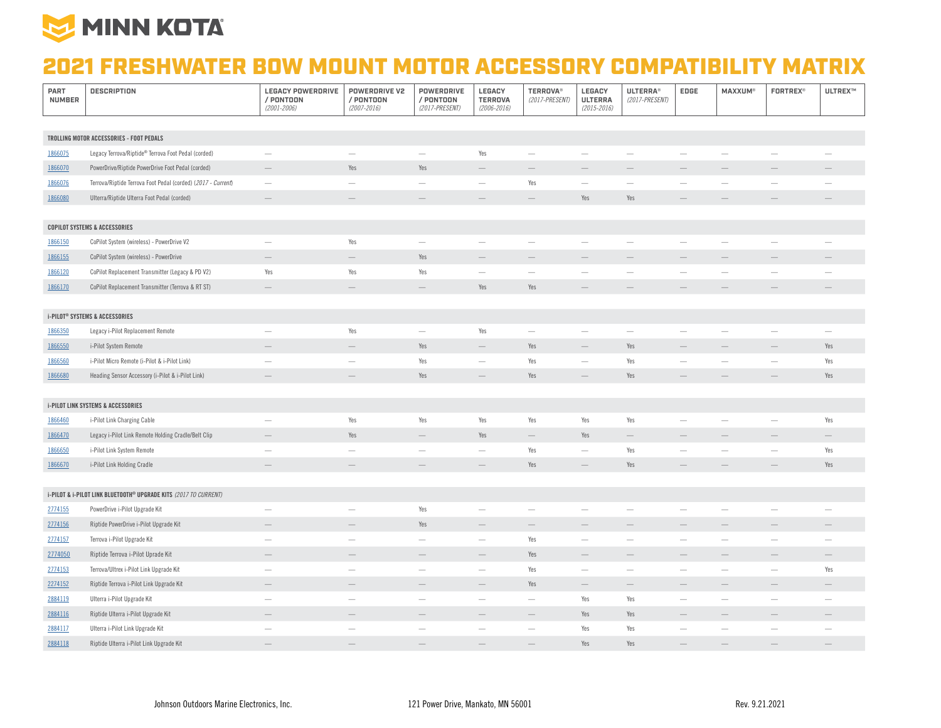

## 2021 FRESHWATER BOW MOUNT MOTOR ACCESSORY COMPATIBILITY MATRIX

| PART<br><b>NUMBER</b> | <b>DESCRIPTION</b>                                               | <b>LEGACY POWERDRIVE</b><br>/ PONTOON<br>$(2001 - 2006)$ | POWERDRIVE V2<br>/ PONTOON<br>$(2007 - 2016)$ | <b>POWERDRIVE</b><br>/ PONTOON<br>(2017-PRESENT) | LEGACY<br><b>TERROVA</b><br>$(2006 - 2016)$ | <b>TERROVA®</b><br>(2017-PRESENT) | LEGACY<br><b>ULTERRA</b><br>$(2015 - 2016)$ | <b>ULTERRA®</b><br>(2017-PRESENT) | EDGE                            | <b>MAXXUM®</b>                  | <b>FORTREX®</b>                 | ULTREX™                  |
|-----------------------|------------------------------------------------------------------|----------------------------------------------------------|-----------------------------------------------|--------------------------------------------------|---------------------------------------------|-----------------------------------|---------------------------------------------|-----------------------------------|---------------------------------|---------------------------------|---------------------------------|--------------------------|
|                       |                                                                  |                                                          |                                               |                                                  |                                             |                                   |                                             |                                   |                                 |                                 |                                 |                          |
|                       | TROLLING MOTOR ACCESSORIES - FOOT PEDALS                         |                                                          |                                               |                                                  |                                             |                                   |                                             |                                   |                                 |                                 |                                 |                          |
| 1866075               | Legacy Terrova/Riptide® Terrova Foot Pedal (corded)              | $\overline{\phantom{0}}$                                 | $\overline{\phantom{0}}$                      | $\overline{\phantom{a}}$                         | Yes                                         |                                   | $\overline{\phantom{0}}$                    |                                   | $\overline{\phantom{0}}$        |                                 |                                 | $\sim$                   |
| 1866070               | PowerDrive/Riptide PowerDrive Foot Pedal (corded)                |                                                          | Yes                                           | Yes                                              |                                             |                                   |                                             |                                   |                                 |                                 |                                 |                          |
| 1866076               | Terrova/Riptide Terrova Foot Pedal (corded) (2017 - Current)     | $\overline{\phantom{a}}$                                 | $\overline{\phantom{0}}$                      | $\sim$                                           | $\overbrace{\qquad \qquad }^{}$             | Yes                               | $\overbrace{\phantom{123221}}$              | $\overline{\phantom{a}}$          | $\overline{\phantom{m}}$        | $\overline{\phantom{0}}$        | $\overbrace{\qquad \qquad }^{}$ | $\overline{\phantom{m}}$ |
| 1866080               | Ulterra/Riptide Ulterra Foot Pedal (corded)                      |                                                          |                                               | $\qquad \qquad -$                                | $\qquad \qquad -$                           | $\overline{\phantom{a}}$          | Yes                                         | Yes                               |                                 |                                 |                                 |                          |
|                       |                                                                  |                                                          |                                               |                                                  |                                             |                                   |                                             |                                   |                                 |                                 |                                 |                          |
|                       | <b>COPILOT SYSTEMS &amp; ACCESSORIES</b>                         |                                                          |                                               |                                                  |                                             |                                   |                                             |                                   |                                 |                                 |                                 |                          |
| 1866150               | CoPilot System (wireless) - PowerDrive V2                        | $\overline{\phantom{a}}$                                 | Yes                                           | $\overline{\phantom{m}}$                         | $\overline{\phantom{m}}$                    | $\overline{\phantom{m}}$          | $\overline{\phantom{m}}$                    | $\overline{\phantom{m}}$          | $\overline{\phantom{m}}$        | $\overline{\phantom{m}}$        | $\overline{\phantom{m}}$        | $\overline{\phantom{m}}$ |
| 1866155               | CoPilot System (wireless) - PowerDrive                           | $\overline{\phantom{a}}$                                 |                                               | Yes                                              |                                             |                                   |                                             |                                   |                                 |                                 |                                 |                          |
| 1866120               | CoPilot Replacement Transmitter (Legacy & PD V2)                 | Yes                                                      | Yes                                           | Yes                                              |                                             | $\overline{\phantom{a}}$          | $\overline{\phantom{a}}$                    | $\overline{\phantom{m}}$          | $\overline{\phantom{a}}$        | $\overline{\phantom{m}}$        |                                 |                          |
| 1866170               | CoPilot Replacement Transmitter (Terrova & RT ST)                |                                                          |                                               |                                                  | Yes                                         | Yes                               |                                             |                                   |                                 |                                 |                                 |                          |
|                       |                                                                  |                                                          |                                               |                                                  |                                             |                                   |                                             |                                   |                                 |                                 |                                 |                          |
|                       | <b>i-PILOT<sup>®</sup> SYSTEMS &amp; ACCESSORIES</b>             |                                                          |                                               |                                                  |                                             |                                   |                                             |                                   |                                 |                                 |                                 |                          |
| 1866350               | Legacy i-Pilot Replacement Remote                                | $\overline{\phantom{a}}$                                 | Yes                                           | $\overline{\phantom{a}}$                         | Yes                                         | $\overline{\phantom{a}}$          | $\overbrace{\phantom{123221}}$              | $\overline{\phantom{m}}$          | $\overline{\phantom{a}}$        | $\overline{\phantom{a}}$        | $\overline{\phantom{a}}$        |                          |
| 1866550               | i-Pilot System Remote                                            |                                                          |                                               | Yes                                              | $\overline{\phantom{a}}$                    | Yes                               | $\hspace{0.1mm}-\hspace{0.1mm}$             | Yes                               | $\overline{\phantom{a}}$        | $\overline{\phantom{a}}$        | $\overline{\phantom{a}}$        | Yes                      |
| 1866560               | i-Pilot Micro Remote (i-Pilot & i-Pilot Link)                    | $\hspace{0.05cm}$                                        | $\overline{\phantom{m}}$                      | Yes                                              | $\hspace{0.1mm}-\hspace{0.1mm}$             | Yes                               | $\overbrace{\phantom{123221}}$              | Yes                               | $\overline{\phantom{a}}$        | $\hspace{0.1mm}-\hspace{0.1mm}$ | $\overbrace{\qquad \qquad }^{}$ | Yes                      |
| 1866680               | Heading Sensor Accessory (i-Pilot & i-Pilot Link)                | $\overline{\phantom{a}}$                                 | $\qquad \qquad -$                             | Yes                                              | $\qquad \qquad$                             | Yes                               |                                             | Yes                               |                                 |                                 |                                 | Yes                      |
|                       |                                                                  |                                                          |                                               |                                                  |                                             |                                   |                                             |                                   |                                 |                                 |                                 |                          |
|                       | <b>i-PILOT LINK SYSTEMS &amp; ACCESSORIES</b>                    |                                                          |                                               |                                                  |                                             |                                   |                                             |                                   |                                 |                                 |                                 |                          |
| 1866460               | i-Pilot Link Charging Cable                                      | $\sim$                                                   | Yes                                           | Yes                                              | Yes                                         | Yes                               | Yes                                         | Yes                               | $\sim$                          | $\sim$                          | $\sim$                          | Yes                      |
| 1866470               | Legacy i-Pilot Link Remote Holding Cradle/Belt Clip              | $\overline{\phantom{a}}$                                 | Yes                                           | $\overline{\phantom{a}}$                         | Yes                                         | $\overline{\phantom{m}}$          | Yes                                         | $\hspace{0.1mm}-\hspace{0.1mm}$   | $\hspace{0.1mm}-\hspace{0.1mm}$ |                                 |                                 | $\qquad \qquad -$        |
| 1866650               | i-Pilot Link System Remote                                       | $\sim$                                                   | $\overline{\phantom{0}}$                      |                                                  | $\overline{\phantom{0}}$                    | Yes                               | $\overline{\phantom{m}}$                    | Yes                               | $\overline{\phantom{m}}$        | $\overline{\phantom{0}}$        |                                 | Yes                      |
| 1866670               | i-Pilot Link Holding Cradle                                      | $\qquad \qquad$                                          |                                               |                                                  |                                             | Yes                               |                                             | Yes                               |                                 |                                 |                                 | Yes                      |
|                       |                                                                  |                                                          |                                               |                                                  |                                             |                                   |                                             |                                   |                                 |                                 |                                 |                          |
|                       | i-PILOT & i-PILOT LINK BLUETOOTH® UPGRADE KITS (2017 TO CURRENT) |                                                          |                                               |                                                  |                                             |                                   |                                             |                                   |                                 |                                 |                                 |                          |
| 2774155               | PowerDrive i-Pilot Upgrade Kit                                   | $\overline{\phantom{m}}$                                 | $\overline{\phantom{a}}$                      | Yes                                              | $\overline{\phantom{m}}$                    | $\overline{\phantom{a}}$          | $\overbrace{\phantom{123221}}$              | $\overline{\phantom{0}}$          | $\overline{\phantom{m}}$        | $\overline{\phantom{0}}$        | $\sim$                          |                          |
| 2774156               | Riptide PowerDrive i-Pilot Upgrade Kit                           | $\qquad \qquad -$                                        | $\qquad \qquad -$                             | Yes                                              | $\qquad \qquad -$                           | $\hspace{0.1mm}-\hspace{0.1mm}$   | $\qquad \qquad -$                           | $\qquad \qquad$                   | $\qquad \qquad -$               | $\qquad \qquad -$               | $\qquad \qquad -$               | $\qquad \qquad -$        |
| 2774157               | Terrova i-Pilot Upgrade Kit                                      | $\overline{\phantom{m}}$                                 | -                                             | $\overline{\phantom{a}}$                         | $\overbrace{\qquad \qquad }^{}$             | Yes                               | $\overbrace{\phantom{123221}}$              | $\overline{\phantom{a}}$          | $\hspace{0.1mm}-\hspace{0.1mm}$ | -                               | $\overbrace{\qquad \qquad }^{}$ |                          |
| 2774050               | Riptide Terrova i-Pilot Uprade Kit                               | $\qquad \qquad$                                          | $\overline{\phantom{0}}$                      |                                                  | $\overline{\phantom{0}}$                    | Yes                               | $\overline{\phantom{m}}$                    | $\qquad \qquad -$                 | $\overline{\phantom{0}}$        | $\qquad \qquad -$               |                                 | $\qquad \qquad -$        |
| 2774153               | Terrova/Ultrex i-Pilot Link Upgrade Kit                          | $\overline{\phantom{a}}$                                 | $\overline{\phantom{0}}$                      | $\overline{\phantom{m}}$                         | $\overline{\phantom{m}}$                    | Yes                               | $\overline{\phantom{m}}$                    | $\overline{\phantom{m}}$          | $\overline{\phantom{a}}$        |                                 | $\overline{\phantom{m}}$        | Yes                      |
| 2274152               | Riptide Terrova i-Pilot Link Upgrade Kit                         |                                                          | $\overline{\phantom{0}}$                      | $\qquad \qquad -$                                | $\overline{\phantom{0}}$                    | Yes                               | $\overline{\phantom{m}}$                    | $\qquad \qquad -$                 | $\overline{\phantom{0}}$        | $\overline{\phantom{0}}$        | $\qquad \qquad -$               | $\qquad \qquad -$        |
| 2884119               | Ulterra i-Pilot Upgrade Kit                                      | $\sim$                                                   | $\overline{\phantom{a}}$                      | $\overline{\phantom{a}}$                         | $\overline{\phantom{m}}$                    |                                   | Yes                                         | Yes                               |                                 | $\overline{\phantom{a}}$        |                                 |                          |
| 2884116               | Riptide Ulterra i-Pilot Upgrade Kit                              | $\overline{\phantom{a}}$                                 |                                               |                                                  | $\qquad \qquad -$                           | $\hspace{0.1mm}-\hspace{0.1mm}$   | Yes                                         | Yes                               | $\overline{\phantom{a}}$        |                                 | $\overline{\phantom{a}}$        |                          |
| 2884117               | Ulterra i-Pilot Link Upgrade Kit                                 | $\overline{\phantom{m}}$                                 | $\overline{\phantom{0}}$                      | $\overline{\phantom{0}}$                         | $\overbrace{\qquad \qquad }^{}$             | $\overline{\phantom{m}}$          | Yes                                         | Yes                               |                                 |                                 | $\overline{\phantom{0}}$        |                          |
| 2884118               | Riptide Ulterra i-Pilot Link Upgrade Kit                         | -                                                        |                                               |                                                  |                                             |                                   | Yes                                         | Yes                               |                                 |                                 |                                 |                          |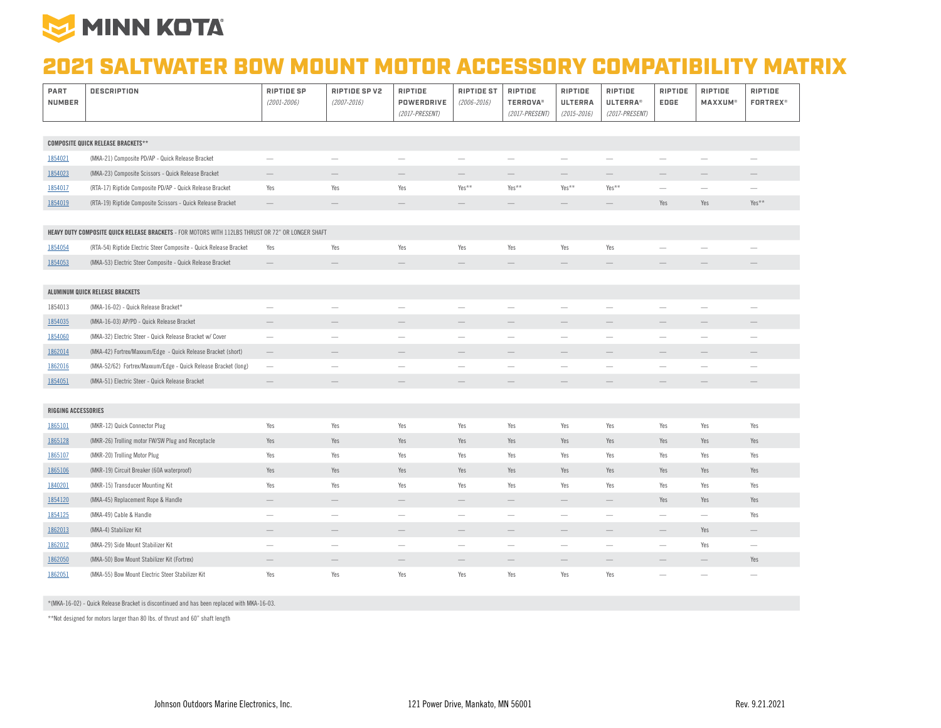

## 2021 SALTWATER BOW MOUNT MOTOR ACCESSORY COMPATIBILITY MATRIX

| PART<br><b>NUMBER</b>                     | <b>DESCRIPTION</b>                                                                                 | <b>RIPTIDE SP</b><br>$(2001 - 2006)$ | RIPTIDE SP V2<br>$(2007 - 2016)$ | RIPTIDE<br>POWERDRIVE<br>(2017-PRESENT) | <b>RIPTIDE ST</b><br>$(2006 - 2016)$ | RIPTIDE<br><b>TERROVA®</b><br>(2017-PRESENT) | RIPTIDE<br><b>ULTERRA</b><br>$(2015 - 2016)$ | RIPTIDE<br><b>ULTERRA®</b><br>(2017-PRESENT) | RIPTIDE<br>EDGE          | RIPTIDE<br><b>MAXXUM®</b> | RIPTIDE<br><b>FORTREX®</b>      |
|-------------------------------------------|----------------------------------------------------------------------------------------------------|--------------------------------------|----------------------------------|-----------------------------------------|--------------------------------------|----------------------------------------------|----------------------------------------------|----------------------------------------------|--------------------------|---------------------------|---------------------------------|
|                                           |                                                                                                    |                                      |                                  |                                         |                                      |                                              |                                              |                                              |                          |                           |                                 |
| <b>COMPOSITE QUICK RELEASE BRACKETS**</b> |                                                                                                    |                                      |                                  |                                         |                                      |                                              |                                              |                                              |                          |                           |                                 |
| 1854021                                   | (MKA-21) Composite PD/AP - Quick Release Bracket                                                   | $\overbrace{\qquad \qquad }^{}$      | -                                | $\overline{\phantom{m}}$                | $\overbrace{\qquad \qquad }^{}$      |                                              | $\overline{\phantom{a}}$                     | $\overline{\phantom{m}}$                     | $\overline{\phantom{0}}$ | $\overline{\phantom{m}}$  | $\overline{\phantom{0}}$        |
| 1854023                                   | (MKA-23) Composite Scissors - Quick Release Bracket                                                | $\overline{\phantom{0}}$             |                                  |                                         |                                      |                                              | -                                            | -                                            |                          | $\qquad \qquad -$         |                                 |
| 1854017                                   | (RTA-17) Riptide Composite PD/AP - Quick Release Bracket                                           | Yes                                  | Yes                              | Yes                                     | Yes**                                | Yes**                                        | Yes**                                        | Yes**                                        |                          |                           |                                 |
| 1854019                                   | (RTA-19) Riptide Composite Scissors - Quick Release Bracket                                        | $\overline{\phantom{0}}$             | $\qquad \qquad -$                | $\hspace{0.1mm}-\hspace{0.1mm}$         | $\qquad \qquad -$                    | $\hspace{0.1mm}-\hspace{0.1mm}$              | $\hspace{0.1mm}-\hspace{0.1mm}$              | $\hspace{0.1mm}-\hspace{0.1mm}$              | Yes                      | Yes                       | Yes**                           |
|                                           |                                                                                                    |                                      |                                  |                                         |                                      |                                              |                                              |                                              |                          |                           |                                 |
|                                           | HEAVY DUTY COMPOSITE QUICK RELEASE BRACKETS - FOR MOTORS WITH 112LBS THRUST OR 72" OR LONGER SHAFT |                                      |                                  |                                         |                                      |                                              |                                              |                                              |                          |                           |                                 |
| 1854054                                   | (RTA-54) Riptide Electric Steer Composite - Quick Release Bracket                                  | Yes                                  | Yes                              | Yes                                     | Yes                                  | Yes                                          | Yes                                          | Yes                                          | $\overline{\phantom{0}}$ |                           |                                 |
| 1854053                                   | (MKA-53) Electric Steer Composite - Quick Release Bracket                                          | $\overline{\phantom{0}}$             |                                  |                                         |                                      |                                              |                                              |                                              |                          |                           |                                 |
|                                           |                                                                                                    |                                      |                                  |                                         |                                      |                                              |                                              |                                              |                          |                           |                                 |
|                                           | ALUMINUM QUICK RELEASE BRACKETS                                                                    |                                      |                                  |                                         |                                      |                                              |                                              |                                              |                          |                           |                                 |
| 1854013                                   | (MKA-16-02) - Quick Release Bracket*                                                               | $\overbrace{\qquad \qquad }^{}$      | -                                | $\overline{\phantom{m}}$                |                                      | -                                            | $\overbrace{\phantom{1232211}}$              | -                                            | $\overline{\phantom{0}}$ | $\overline{\phantom{0}}$  | -                               |
| 1854035                                   | (MKA-16-03) AP/PD - Quick Release Bracket                                                          | $\overline{\phantom{0}}$             | $\qquad \qquad$                  |                                         | $\qquad \qquad -$                    | $\hspace{0.1mm}-\hspace{0.1mm}$              | $\hspace{0.1mm}-\hspace{0.1mm}$              | $\qquad \qquad -$                            | $\overline{\phantom{0}}$ | $\qquad \qquad -$         | $\qquad \qquad -$               |
| 1854060                                   | (MKA-32) Electric Steer - Quick Release Bracket w/ Cover                                           | $\overbrace{\phantom{1232211}}$      |                                  | $\overline{\phantom{a}}$                | $\overline{\phantom{m}}$             | $\overline{\phantom{a}}$                     | $\overline{\phantom{a}}$                     | $\overline{\phantom{a}}$                     | $\overline{\phantom{a}}$ |                           | $\hspace{0.05cm}$               |
| 1862014                                   | (MKA-42) Fortrex/Maxxum/Edge - Quick Release Bracket (short)                                       | $\overline{\phantom{m}}$             |                                  |                                         | $\qquad \qquad -$                    |                                              | $\qquad \qquad$                              |                                              |                          | $\overline{\phantom{0}}$  |                                 |
| 1862016                                   | (MKA-52/62) Fortrex/Maxxum/Edge - Quick Release Bracket (long)                                     | $\overline{\phantom{m}}$             | -                                | $\overline{\phantom{a}}$                | $\overline{\phantom{m}}$             | $\hspace{0.1mm}-\hspace{0.1mm}$              | $\overline{\phantom{m}}$                     | $\overline{\phantom{a}}$                     | $\overline{\phantom{a}}$ | $\overline{\phantom{m}}$  | $\overline{\phantom{a}}$        |
| 1854051                                   | (MKA-51) Electric Steer - Quick Release Bracket                                                    | $\overline{\phantom{0}}$             |                                  |                                         |                                      |                                              |                                              |                                              |                          |                           |                                 |
|                                           |                                                                                                    |                                      |                                  |                                         |                                      |                                              |                                              |                                              |                          |                           |                                 |
| <b>RIGGING ACCESSORIES</b>                |                                                                                                    |                                      |                                  |                                         |                                      |                                              |                                              |                                              |                          |                           |                                 |
| 1865101                                   | (MKR-12) Quick Connector Plug                                                                      | Yes                                  | Yes                              | Yes                                     | Yes                                  | Yes                                          | Yes                                          | Yes                                          | Yes                      | Yes                       | Yes                             |
| 1865128                                   | (MKR-26) Trolling motor FW/SW Plug and Receptacle                                                  | Yes                                  | Yes                              | Yes                                     | Yes                                  | Yes                                          | Yes                                          | Yes                                          | Yes                      | Yes                       | Yes                             |
| 1865107                                   | (MKR-20) Trolling Motor Plug                                                                       | Yes                                  | Yes                              | Yes                                     | Yes                                  | Yes                                          | Yes                                          | Yes                                          | Yes                      | Yes                       | Yes                             |
| 1865106                                   | (MKR-19) Circuit Breaker (60A waterproof)                                                          | Yes                                  | Yes                              | Yes                                     | Yes                                  | Yes                                          | Yes                                          | Yes                                          | Yes                      | Yes                       | Yes                             |
| 1840201                                   | (MKR-15) Transducer Mounting Kit                                                                   | Yes                                  | Yes                              | Yes                                     | Yes                                  | Yes                                          | Yes                                          | Yes                                          | Yes                      | Yes                       | Yes                             |
| 1854120                                   | (MKA-45) Replacement Rope & Handle                                                                 | $\overline{\phantom{0}}$             |                                  | $\qquad \qquad$                         | $\qquad \qquad -$                    | $\overline{\phantom{0}}$                     | $\overline{\phantom{m}}$                     | $\qquad \qquad -$                            | Yes                      | Yes                       | Yes                             |
| 1854125                                   | (MKA-49) Cable & Handle                                                                            | $\overline{\phantom{m}}$             | $\overline{\phantom{0}}$         | $\overbrace{\phantom{1232211}}$         |                                      | $\qquad \qquad -$                            | $\overline{\phantom{a}}$                     | $\overline{\phantom{m}}$                     | $\overline{\phantom{m}}$ |                           | Yes                             |
| 1862013                                   | (MKA-4) Stabilizer Kit                                                                             | $\hspace{0.1mm}-\hspace{0.1mm}$      |                                  |                                         | $\hspace{1.0cm} - \hspace{1.0cm}$    | $\overline{\phantom{m}}$                     | $\overline{\phantom{m}}$                     | $\qquad \qquad -$                            | $\overline{\phantom{0}}$ | Yes                       | $\hspace{0.1mm}-\hspace{0.1mm}$ |
| 1862012                                   | (MKA-29) Side Mount Stabilizer Kit                                                                 | $\overline{\phantom{m}}$             | -                                | $\overline{\phantom{a}}$                | $\overline{\phantom{0}}$             | -                                            | $\overline{\phantom{m}}$                     | -                                            | $\qquad \qquad -$        | Yes                       | $\overline{\phantom{m}}$        |
| 1862050                                   | (MKA-50) Bow Mount Stabilizer Kit (Fortrex)                                                        | $\qquad \qquad -$                    |                                  |                                         |                                      |                                              | $\qquad \qquad$                              |                                              |                          | $\qquad \qquad -$         | Yes                             |
| 1862051                                   | (MKA-55) Bow Mount Electric Steer Stabilizer Kit                                                   | Yes                                  | Yes                              | Yes                                     | Yes                                  | Yes                                          | Yes                                          | Yes                                          | $\overline{\phantom{0}}$ | $\overline{\phantom{0}}$  |                                 |

\*(MKA-16-02) - Quick Release Bracket is discontinued and has been replaced with MKA-16-03.

\*\*Not designed for motors larger than 80 lbs. of thrust and 60" shaft length